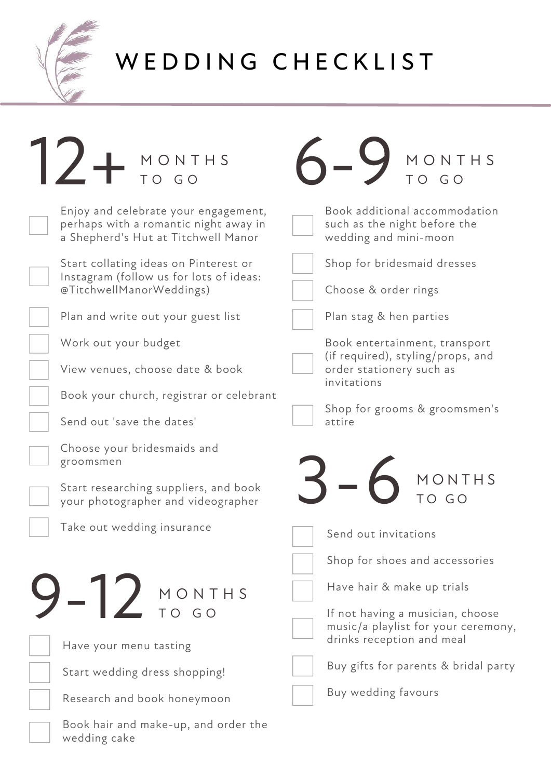

## W E D D I N G C H E C K L I S T

| Z + MONTHS                                                                                                           | MONTHS<br>TO GO                                                                                      |
|----------------------------------------------------------------------------------------------------------------------|------------------------------------------------------------------------------------------------------|
| Enjoy and celebrate your engagement,<br>perhaps with a romantic night away in<br>a Shepherd's Hut at Titchwell Manor | Book additional accommodation<br>such as the night before the<br>wedding and mini-moon               |
| Start collating ideas on Pinterest or<br>Instagram (follow us for lots of ideas:<br>@TitchwellManorWeddings)         | Shop for bridesmaid dresses<br>Choose & order rings                                                  |
| Plan and write out your guest list                                                                                   | Plan stag & hen parties                                                                              |
| Work out your budget                                                                                                 | Book entertainment, transport<br>(if required), styling/props, and                                   |
| View venues, choose date & book                                                                                      | order stationery such as<br>invitations                                                              |
| Book your church, registrar or celebrant                                                                             |                                                                                                      |
| Send out 'save the dates'                                                                                            | Shop for grooms & groomsmen's<br>attire                                                              |
| Choose your bridesmaids and<br>groomsmen                                                                             |                                                                                                      |
| Start researching suppliers, and book<br>your photographer and videographer                                          | MONTHS<br>TO GO                                                                                      |
| Take out wedding insurance                                                                                           | Send out invitations                                                                                 |
|                                                                                                                      | Shop for shoes and accessories                                                                       |
| $-12$ MONTHS                                                                                                         | Have hair & make up trials                                                                           |
|                                                                                                                      | If not having a musician, choose<br>music/a playlist for your ceremony,<br>drinks reception and meal |
| Have your menu tasting                                                                                               | Buy gifts for parents & bridal party                                                                 |
| Start wedding dress shopping!                                                                                        |                                                                                                      |
| Research and book honeymoon                                                                                          | Buy wedding favours                                                                                  |
| Book hair and make-up, and order the<br>wedding cake                                                                 |                                                                                                      |